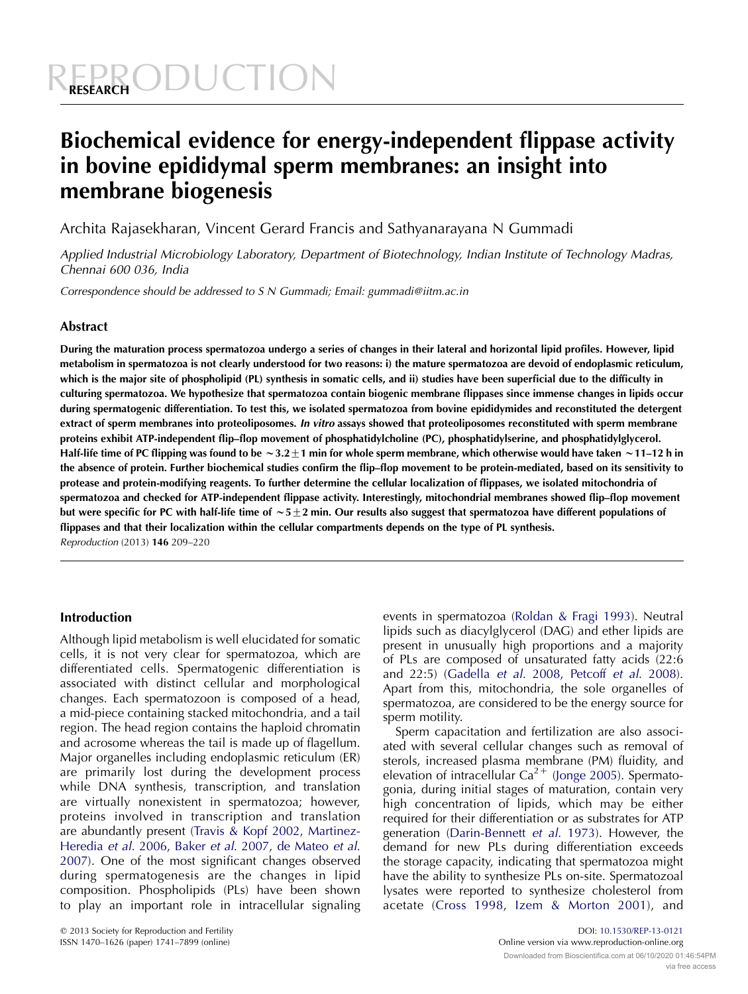# *ODUCTION*

# Biochemical evidence for energy-independent flippase activity in bovine epididymal sperm membranes: an insight into membrane biogenesis

Archita Rajasekharan, Vincent Gerard Francis and Sathyanarayana N Gummadi

Applied Industrial Microbiology Laboratory, Department of Biotechnology, Indian Institute of Technology Madras, Chennai 600 036, India

Correspondence should be addressed to S N Gummadi; Email: gummadi@iitm.ac.in

# Abstract

During the maturation process spermatozoa undergo a series of changes in their lateral and horizontal lipid profiles. However, lipid metabolism in spermatozoa is not clearly understood for two reasons: i) the mature spermatozoa are devoid of endoplasmic reticulum, which is the major site of phospholipid (PL) synthesis in somatic cells, and ii) studies have been superficial due to the difficulty in culturing spermatozoa. We hypothesize that spermatozoa contain biogenic membrane flippases since immense changes in lipids occur during spermatogenic differentiation. To test this, we isolated spermatozoa from bovine epididymides and reconstituted the detergent extract of sperm membranes into proteoliposomes. In vitro assays showed that proteoliposomes reconstituted with sperm membrane proteins exhibit ATP-independent flip–flop movement of phosphatidylcholine (PC), phosphatidylserine, and phosphatidylglycerol. Half-life time of PC flipping was found to be  $\sim$ 3.2 $\pm$ 1 min for whole sperm membrane, which otherwise would have taken  $\sim$ 11–12 h in the absence of protein. Further biochemical studies confirm the flip–flop movement to be protein-mediated, based on its sensitivity to protease and protein-modifying reagents. To further determine the cellular localization of flippases, we isolated mitochondria of spermatozoa and checked for ATP-independent flippase activity. Interestingly, mitochondrial membranes showed flip–flop movement but were specific for PC with half-life time of  $\sim$  5 $\pm$ 2 min. Our results also suggest that spermatozoa have different populations of flippases and that their localization within the cellular compartments depends on the type of PL synthesis. Reproduction (2013) 146 209–220

# Introduction

Although lipid metabolism is well elucidated for somatic cells, it is not very clear for spermatozoa, which are differentiated cells. Spermatogenic differentiation is associated with distinct cellular and morphological changes. Each spermatozoon is composed of a head, a mid-piece containing stacked mitochondria, and a tail region. The head region contains the haploid chromatin and acrosome whereas the tail is made up of flagellum. Major organelles including endoplasmic reticulum (ER) are primarily lost during the development process while DNA synthesis, transcription, and translation are virtually nonexistent in spermatozoa; however, proteins involved in transcription and translation are abundantly present [\(Travis & Kopf 2002,](#page-11-0) [Martinez-](#page-10-0)[Heredia](#page-10-0) et al. 2006, Baker et al[. 2007](#page-10-0), [de Mateo](#page-10-0) et al. [2007\)](#page-10-0). One of the most significant changes observed during spermatogenesis are the changes in lipid composition. Phospholipids (PLs) have been shown to play an important role in intracellular signaling

events in spermatozoa ([Roldan & Fragi 1993](#page-11-0)). Neutral lipids such as diacylglycerol (DAG) and ether lipids are present in unusually high proportions and a majority of PLs are composed of unsaturated fatty acids (22:6 and 22:5) [\(Gadella](#page-10-0) et al. 2008, Petcoff et al[. 2008](#page-11-0)). Apart from this, mitochondria, the sole organelles of spermatozoa, are considered to be the energy source for sperm motility.

Sperm capacitation and fertilization are also associated with several cellular changes such as removal of sterols, increased plasma membrane (PM) fluidity, and elevation of intracellular  $Ca^{2+}$  ([Jonge 2005](#page-10-0)). Spermatogonia, during initial stages of maturation, contain very high concentration of lipids, which may be either required for their differentiation or as substrates for ATP generation ([Darin-Bennett](#page-10-0) et al. 1973). However, the demand for new PLs during differentiation exceeds the storage capacity, indicating that spermatozoa might have the ability to synthesize PLs on-site. Spermatozoal lysates were reported to synthesize cholesterol from acetate ([Cross 1998,](#page-10-0) [Izem & Morton 2001\)](#page-10-0), and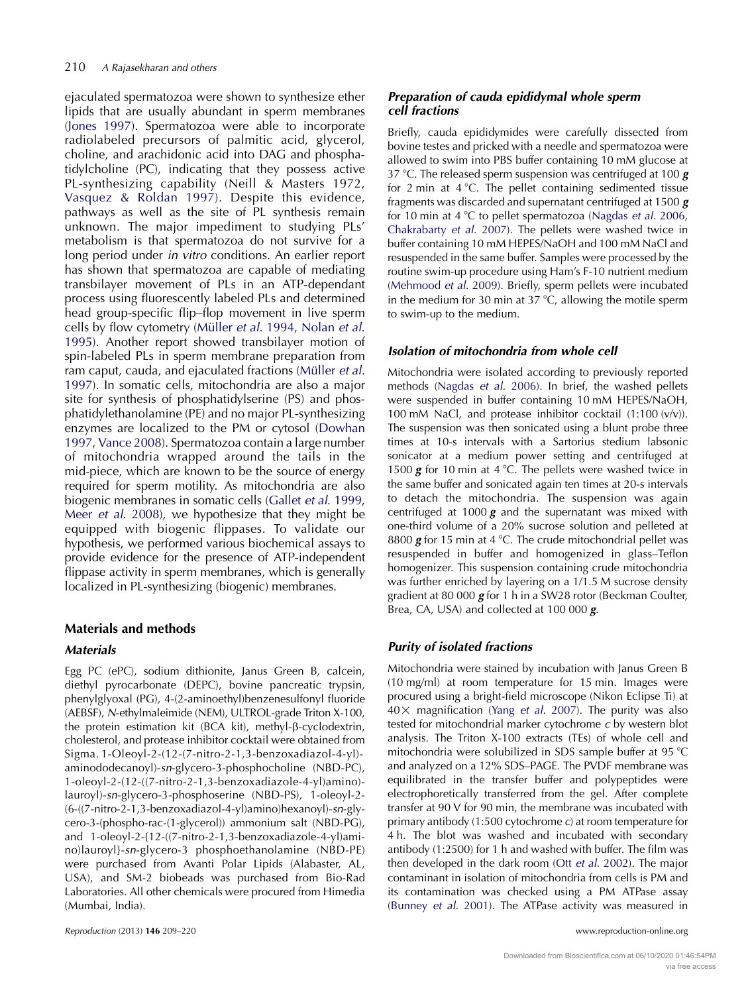ejaculated spermatozoa were shown to synthesize ether lipids that are usually abundant in sperm membranes [\(Jones 1997](#page-10-0)). Spermatozoa were able to incorporate radiolabeled precursors of palmitic acid, glycerol, choline, and arachidonic acid into DAG and phosphatidylcholine (PC), indicating that they possess active PL-synthesizing capability (Neill & Masters 1972, [Vasquez & Roldan 1997\)](#page-11-0). Despite this evidence, pathways as well as the site of PL synthesis remain unknown. The major impediment to studying PLs' metabolism is that spermatozoa do not survive for a long period under in vitro conditions. An earlier report has shown that spermatozoa are capable of mediating transbilayer movement of PLs in an ATP-dependant process using fluorescently labeled PLs and determined head group-specific flip–flop movement in live sperm cells by flow cytometry (Müller et al. 1994, [Nolan](#page-11-0) et al. [1995\)](#page-11-0). Another report showed transbilayer motion of spin-labeled PLs in sperm membrane preparation from ram caput, cauda, and ejaculated fractions (Müller et al. [1997\)](#page-11-0). In somatic cells, mitochondria are also a major site for synthesis of phosphatidylserine (PS) and phosphatidylethanolamine (PE) and no major PL-synthesizing enzymes are localized to the PM or cytosol ([Dowhan](#page-10-0) [1997,](#page-10-0) [Vance 2008\)](#page-11-0). Spermatozoa contain a large number of mitochondria wrapped around the tails in the mid-piece, which are known to be the source of energy required for sperm motility. As mitochondria are also biogenic membranes in somatic cells (Gallet et al[. 1999,](#page-10-0) Meer et al[. 2008\)](#page-10-0), we hypothesize that they might be equipped with biogenic flippases. To validate our hypothesis, we performed various biochemical assays to provide evidence for the presence of ATP-independent flippase activity in sperm membranes, which is generally localized in PL-synthesizing (biogenic) membranes.

# Materials and methods

# **Materials**

Egg PC (ePC), sodium dithionite, Janus Green B, calcein, diethyl pyrocarbonate (DEPC), bovine pancreatic trypsin, phenylglyoxal (PG), 4-(2-aminoethyl)benzenesulfonyl fluoride (AEBSF), N-ethylmaleimide (NEM), ULTROL-grade Triton X-100, the protein estimation kit (BCA kit), methyl-β-cyclodextrin, cholesterol, and protease inhibitor cocktail were obtained from Sigma. 1-Oleoyl-2-(12-(7-nitro-2-1,3-benzoxadiazol-4-yl) aminododecanoyl)-sn-glycero-3-phosphocholine (NBD-PC), 1-oleoyl-2-(12-((7-nitro-2-1,3-benzoxadiazole-4-yl)amino) lauroyl)-sn-glycero-3-phosphoserine (NBD-PS), 1-oleoyl-2- (6-((7-nitro-2-1,3-benzoxadiazol-4-yl)amino)hexanoyl)-sn-glycero-3-(phospho-rac-(1-glycerol)) ammonium salt (NBD-PG), and 1-oleoyl-2-{12-((7-nitro-2-1,3-benzoxadiazole-4-yl)amino)lauroyl}-sn-glycero-3 phosphoethanolamine (NBD-PE) were purchased from Avanti Polar Lipids (Alabaster, AL, USA), and SM-2 biobeads was purchased from Bio-Rad Laboratories. All other chemicals were procured from Himedia (Mumbai, India).

# Preparation of cauda epididymal whole sperm cell fractions

Briefly, cauda epididymides were carefully dissected from bovine testes and pricked with a needle and spermatozoa were allowed to swim into PBS buffer containing 10 mM glucose at 37 °C. The released sperm suspension was centrifuged at 100  $g$ for 2 min at  $4^{\circ}$ C. The pellet containing sedimented tissue fragments was discarded and supernatant centrifuged at 1500 g for 10 min at 4  $\degree$ C to pellet spermatozoa ([Nagdas](#page-11-0) *et al.* 2006, [Chakrabarty](#page-10-0) et al. 2007). The pellets were washed twice in buffer containing 10 mM HEPES/NaOH and 100 mM NaCl and resuspended in the same buffer. Samples were processed by the routine swim-up procedure using Ham's F-10 nutrient medium [\(Mehmood](#page-10-0) et al. 2009). Briefly, sperm pellets were incubated in the medium for 30 min at 37  $^{\circ}$ C, allowing the motile sperm to swim-up to the medium.

# Isolation of mitochondria from whole cell

Mitochondria were isolated according to previously reported methods [\(Nagdas](#page-11-0) et al. 2006). In brief, the washed pellets were suspended in buffer containing 10 mM HEPES/NaOH, 100 mM NaCl, and protease inhibitor cocktail (1:100 (v/v)). The suspension was then sonicated using a blunt probe three times at 10-s intervals with a Sartorius stedium labsonic sonicator at a medium power setting and centrifuged at 1500 **g** for 10 min at 4 °C. The pellets were washed twice in the same buffer and sonicated again ten times at 20-s intervals to detach the mitochondria. The suspension was again centrifuged at 1000  $g$  and the supernatant was mixed with one-third volume of a 20% sucrose solution and pelleted at 8800  $g$  for 15 min at 4 °C. The crude mitochondrial pellet was resuspended in buffer and homogenized in glass–Teflon homogenizer. This suspension containing crude mitochondria was further enriched by layering on a 1/1.5 M sucrose density gradient at 80 000  $g$  for 1 h in a SW28 rotor (Beckman Coulter, Brea, CA, USA) and collected at 100 000 g.

# Purity of isolated fractions

Mitochondria were stained by incubation with Janus Green B (10 mg/ml) at room temperature for 15 min. Images were procured using a bright-field microscope (Nikon Eclipse Ti) at  $40 \times$  magnification (Yang et al[. 2007\)](#page-11-0). The purity was also tested for mitochondrial marker cytochrome c by western blot analysis. The Triton X-100 extracts (TEs) of whole cell and mitochondria were solubilized in SDS sample buffer at 95 °C and analyzed on a 12% SDS–PAGE. The PVDF membrane was equilibrated in the transfer buffer and polypeptides were electrophoretically transferred from the gel. After complete transfer at 90 V for 90 min, the membrane was incubated with primary antibody (1:500 cytochrome c) at room temperature for 4 h. The blot was washed and incubated with secondary antibody (1:2500) for 1 h and washed with buffer. The film was then developed in the dark room (Ott et al[. 2002](#page-11-0)). The major contaminant in isolation of mitochondria from cells is PM and its contamination was checked using a PM ATPase assay [\(Bunney](#page-10-0) et al. 2001). The ATPase activity was measured in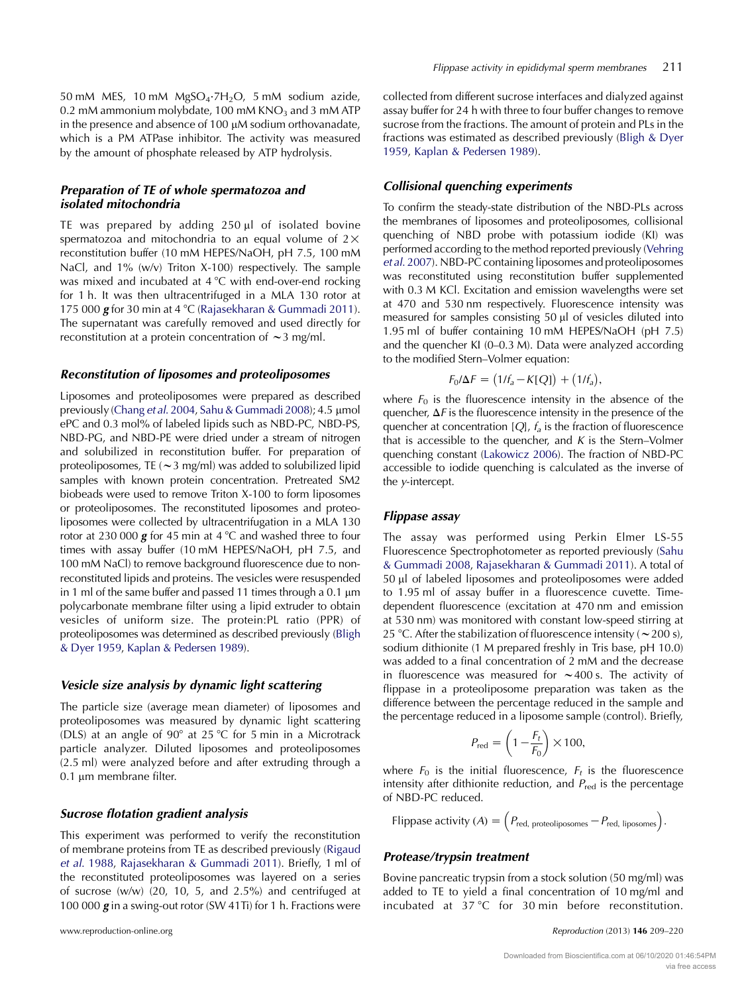50 mM MES, 10 mM  $MgSO_4 \cdot 7H_2O$ , 5 mM sodium azide, 0.2 mM ammonium molybdate, 100 mM  $KNO<sub>3</sub>$  and 3 mM ATP in the presence and absence of  $100 \mu$ M sodium orthovanadate, which is a PM ATPase inhibitor. The activity was measured by the amount of phosphate released by ATP hydrolysis.

#### Preparation of TE of whole spermatozoa and isolated mitochondria

TE was prepared by adding  $250 \mu l$  of isolated bovine spermatozoa and mitochondria to an equal volume of  $2 \times$ reconstitution buffer (10 mM HEPES/NaOH, pH 7.5, 100 mM NaCl, and 1% (w/v) Triton X-100) respectively. The sample was mixed and incubated at  $4^{\circ}C$  with end-over-end rocking for 1 h. It was then ultracentrifuged in a MLA 130 rotor at 175 000  $g$  for 30 min at 4 °C ([Rajasekharan & Gummadi 2011\)](#page-11-0). The supernatant was carefully removed and used directly for reconstitution at a protein concentration of  $\sim$  3 mg/ml.

#### Reconstitution of liposomes and proteoliposomes

Liposomes and proteoliposomes were prepared as described previously ([Chang](#page-10-0) et al. 2004, [Sahu & Gummadi 2008](#page-11-0)); 4.5 µmol ePC and 0.3 mol% of labeled lipids such as NBD-PC, NBD-PS, NBD-PG, and NBD-PE were dried under a stream of nitrogen and solubilized in reconstitution buffer. For preparation of proteoliposomes, TE ( $\sim$ 3 mg/ml) was added to solubilized lipid samples with known protein concentration. Pretreated SM2 biobeads were used to remove Triton X-100 to form liposomes or proteoliposomes. The reconstituted liposomes and proteoliposomes were collected by ultracentrifugation in a MLA 130 rotor at 230 000  $g$  for 45 min at 4 °C and washed three to four times with assay buffer (10 mM HEPES/NaOH, pH 7.5, and 100 mM NaCl) to remove background fluorescence due to nonreconstituted lipids and proteins. The vesicles were resuspended in 1 ml of the same buffer and passed 11 times through a 0.1  $\mu$ m polycarbonate membrane filter using a lipid extruder to obtain vesicles of uniform size. The protein:PL ratio (PPR) of proteoliposomes was determined as described previously [\(Bligh](#page-10-0) [& Dyer 1959,](#page-10-0) [Kaplan & Pedersen 1989\)](#page-10-0).

#### Vesicle size analysis by dynamic light scattering

The particle size (average mean diameter) of liposomes and proteoliposomes was measured by dynamic light scattering (DLS) at an angle of  $90^{\circ}$  at 25 °C for 5 min in a Microtrack particle analyzer. Diluted liposomes and proteoliposomes (2.5 ml) were analyzed before and after extruding through a 0.1 um membrane filter.

#### Sucrose flotation gradient analysis

This experiment was performed to verify the reconstitution of membrane proteins from TE as described previously [\(Rigaud](#page-11-0) et al[. 1988](#page-11-0), [Rajasekharan & Gummadi 2011](#page-11-0)). Briefly, 1 ml of the reconstituted proteoliposomes was layered on a series of sucrose (w/w) (20, 10, 5, and 2.5%) and centrifuged at 100 000 g in a swing-out rotor (SW 41Ti) for 1 h. Fractions were collected from different sucrose interfaces and dialyzed against assay buffer for 24 h with three to four buffer changes to remove sucrose from the fractions. The amount of protein and PLs in the fractions was estimated as described previously [\(Bligh & Dyer](#page-10-0) [1959,](#page-10-0) [Kaplan & Pedersen 1989](#page-10-0)).

#### Collisional quenching experiments

To confirm the steady-state distribution of the NBD-PLs across the membranes of liposomes and proteoliposomes, collisional quenching of NBD probe with potassium iodide (KI) was performed according to the method reported previously ([Vehring](#page-11-0) et al[. 2007\)](#page-11-0). NBD-PC containing liposomes and proteoliposomes was reconstituted using reconstitution buffer supplemented with 0.3 M KCl. Excitation and emission wavelengths were set at 470 and 530 nm respectively. Fluorescence intensity was measured for samples consisting 50 µl of vesicles diluted into 1.95 ml of buffer containing 10 mM HEPES/NaOH (pH 7.5) and the quencher KI (0–0.3 M). Data were analyzed according to the modified Stern–Volmer equation:

$$
F_0/\Delta F = (1/f_a - K[Q]) + (1/f_a),
$$

where  $F_0$  is the fluorescence intensity in the absence of the quencher,  $\Delta F$  is the fluorescence intensity in the presence of the quencher at concentration  $[O, f<sub>a</sub>]$  is the fraction of fluorescence that is accessible to the quencher, and  $K$  is the Stern–Volmer quenching constant [\(Lakowicz 2006\)](#page-10-0). The fraction of NBD-PC accessible to iodide quenching is calculated as the inverse of the y-intercept.

#### Flippase assay

The assay was performed using Perkin Elmer LS-55 Fluorescence Spectrophotometer as reported previously [\(Sahu](#page-11-0) [& Gummadi 2008](#page-11-0), [Rajasekharan & Gummadi 2011\)](#page-11-0). A total of 50 ml of labeled liposomes and proteoliposomes were added to 1.95 ml of assay buffer in a fluorescence cuvette. Timedependent fluorescence (excitation at 470 nm and emission at 530 nm) was monitored with constant low-speed stirring at 25 °C. After the stabilization of fluorescence intensity ( $\sim$  200 s), sodium dithionite (1 M prepared freshly in Tris base, pH 10.0) was added to a final concentration of 2 mM and the decrease in fluorescence was measured for  $\sim$  400 s. The activity of flippase in a proteoliposome preparation was taken as the difference between the percentage reduced in the sample and the percentage reduced in a liposome sample (control). Briefly,

$$
P_{\text{red}} = \left(1 - \frac{F_t}{F_0}\right) \times 100,
$$

where  $F_0$  is the initial fluorescence,  $F_t$  is the fluorescence intensity after dithionite reduction, and  $P_{\text{red}}$  is the percentage of NBD-PC reduced.

Flippase activity  $(A) = \left(P_{\text{red, proteoliposomes}} - P_{\text{red, liposomes}}\right)$ .

#### Protease/trypsin treatment

Bovine pancreatic trypsin from a stock solution (50 mg/ml) was added to TE to yield a final concentration of 10 mg/ml and incubated at  $37^{\circ}$ C for  $30 \text{ min}$  before reconstitution.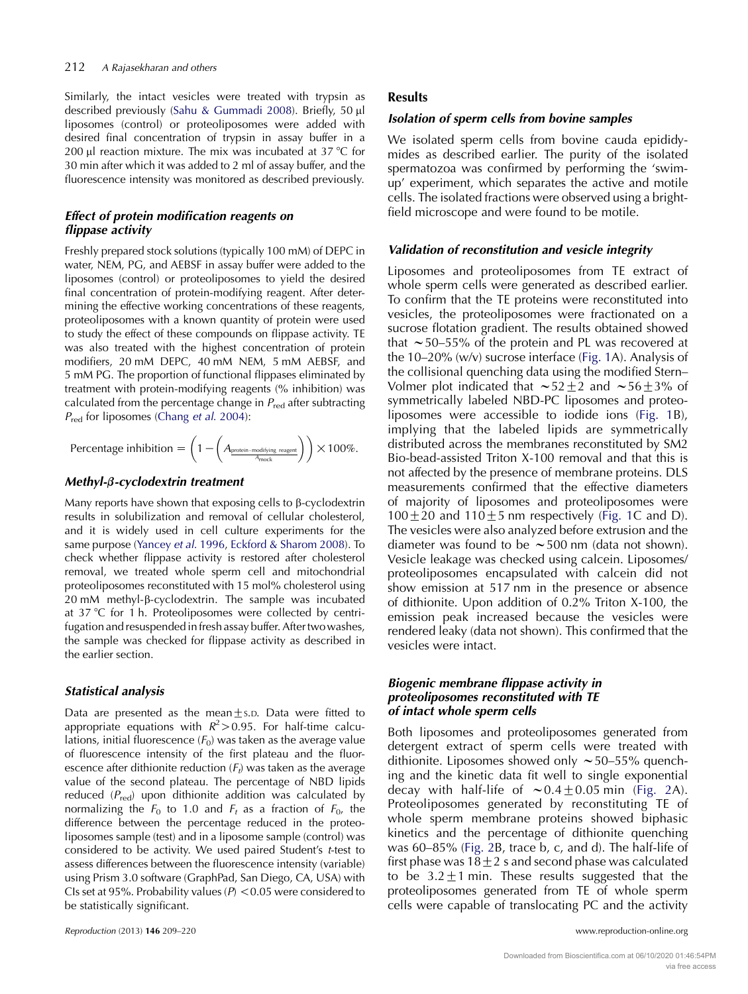Similarly, the intact vesicles were treated with trypsin as described previously ([Sahu & Gummadi 2008](#page-11-0)). Briefly, 50 µl liposomes (control) or proteoliposomes were added with desired final concentration of trypsin in assay buffer in a 200  $\mu$ l reaction mixture. The mix was incubated at 37 °C for 30 min after which it was added to 2 ml of assay buffer, and the fluorescence intensity was monitored as described previously.

## Effect of protein modification reagents on flippase activity

Freshly prepared stock solutions (typically 100 mM) of DEPC in water, NEM, PG, and AEBSF in assay buffer were added to the liposomes (control) or proteoliposomes to yield the desired final concentration of protein-modifying reagent. After determining the effective working concentrations of these reagents, proteoliposomes with a known quantity of protein were used to study the effect of these compounds on flippase activity. TE was also treated with the highest concentration of protein modifiers, 20 mM DEPC, 40 mM NEM, 5 mM AEBSF, and 5 mM PG. The proportion of functional flippases eliminated by treatment with protein-modifying reagents (% inhibition) was calculated from the percentage change in  $P_{\text{red}}$  after subtracting  $P_{\text{red}}$  for liposomes (Chang *et al.* 2004):

$$
\text{Percentage inhibition} = \left(1 - \left(A_{\text{protein-modifying reagent}}\right)\right) \times 100\%.
$$

# Methyl-*b*-cyclodextrin treatment

Many reports have shown that exposing cells to  $\beta$ -cyclodextrin results in solubilization and removal of cellular cholesterol, and it is widely used in cell culture experiments for the same purpose ([Yancey](#page-11-0) et al. 1996, [Eckford & Sharom 2008](#page-10-0)). To check whether flippase activity is restored after cholesterol removal, we treated whole sperm cell and mitochondrial proteoliposomes reconstituted with 15 mol% cholesterol using 20 mM methyl- $\beta$ -cyclodextrin. The sample was incubated at  $37^{\circ}$ C for 1 h. Proteoliposomes were collected by centrifugation and resuspended in fresh assay buffer. After twowashes, the sample was checked for flippase activity as described in the earlier section.

# Statistical analysis

Data are presented as the mean $\pm$ s.D. Data were fitted to appropriate equations with  $R^2 > 0.95$ . For half-time calculations, initial fluorescence  $(F_0)$  was taken as the average value of fluorescence intensity of the first plateau and the fluorescence after dithionite reduction  $(F_t)$  was taken as the average value of the second plateau. The percentage of NBD lipids reduced  $(P_{\text{red}})$  upon dithionite addition was calculated by normalizing the  $F_0$  to 1.0 and  $F_t$  as a fraction of  $F_0$ , the difference between the percentage reduced in the proteoliposomes sample (test) and in a liposome sample (control) was considered to be activity. We used paired Student's t-test to assess differences between the fluorescence intensity (variable) using Prism 3.0 software (GraphPad, San Diego, CA, USA) with CIs set at 95%. Probability values ( $P$ ) < 0.05 were considered to be statistically significant.

## Results

# Isolation of sperm cells from bovine samples

We isolated sperm cells from bovine cauda epididymides as described earlier. The purity of the isolated spermatozoa was confirmed by performing the 'swimup' experiment, which separates the active and motile cells. The isolated fractions were observed using a brightfield microscope and were found to be motile.

# Validation of reconstitution and vesicle integrity

Liposomes and proteoliposomes from TE extract of whole sperm cells were generated as described earlier. To confirm that the TE proteins were reconstituted into vesicles, the proteoliposomes were fractionated on a sucrose flotation gradient. The results obtained showed that  $\sim$  50–55% of the protein and PL was recovered at the 10–20% (w/v) sucrose interface [\(Fig. 1A](#page-4-0)). Analysis of the collisional quenching data using the modified Stern– Volmer plot indicated that  $\sim$  52  $\pm$  2 and  $\sim$  56  $\pm$  3% of symmetrically labeled NBD-PC liposomes and proteoliposomes were accessible to iodide ions ([Fig. 1B](#page-4-0)), implying that the labeled lipids are symmetrically distributed across the membranes reconstituted by SM2 Bio-bead-assisted Triton X-100 removal and that this is not affected by the presence of membrane proteins. DLS measurements confirmed that the effective diameters of majority of liposomes and proteoliposomes were  $100+20$  and  $110+5$  nm respectively [\(Fig. 1](#page-4-0)C and D). The vesicles were also analyzed before extrusion and the diameter was found to be  $\sim$  500 nm (data not shown). Vesicle leakage was checked using calcein. Liposomes/ proteoliposomes encapsulated with calcein did not show emission at 517 nm in the presence or absence of dithionite. Upon addition of 0.2% Triton X-100, the emission peak increased because the vesicles were rendered leaky (data not shown). This confirmed that the vesicles were intact.

#### Biogenic membrane flippase activity in proteoliposomes reconstituted with TE of intact whole sperm cells

Both liposomes and proteoliposomes generated from detergent extract of sperm cells were treated with dithionite. Liposomes showed only  $\sim$  50–55% quenching and the kinetic data fit well to single exponential decay with half-life of  $\sim 0.4 \pm 0.05$  min ([Fig. 2](#page-5-0)A). Proteoliposomes generated by reconstituting TE of whole sperm membrane proteins showed biphasic kinetics and the percentage of dithionite quenching was 60–85% ([Fig. 2B](#page-5-0), trace b, c, and d). The half-life of first phase was  $18\pm2$  s and second phase was calculated to be  $3.2 \pm 1$  min. These results suggested that the proteoliposomes generated from TE of whole sperm cells were capable of translocating PC and the activity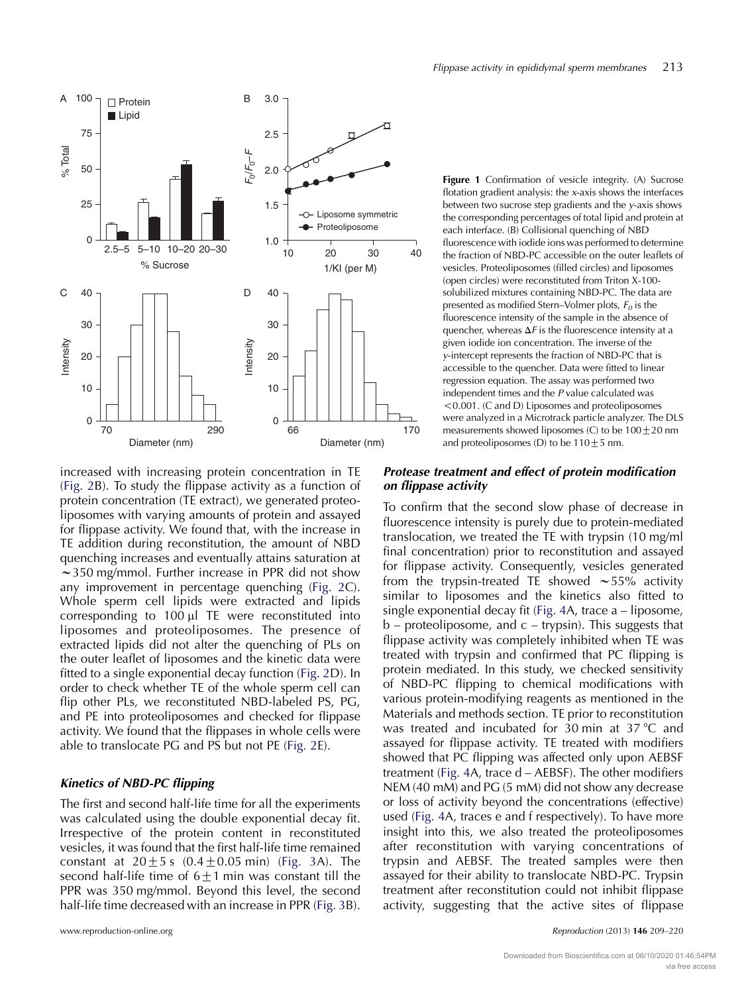<span id="page-4-0"></span>

increased with increasing protein concentration in TE ([Fig. 2](#page-5-0)B). To study the flippase activity as a function of protein concentration (TE extract), we generated proteoliposomes with varying amounts of protein and assayed for flippase activity. We found that, with the increase in TE addition during reconstitution, the amount of NBD quenching increases and eventually attains saturation at  $\sim$ 350 mg/mmol. Further increase in PPR did not show any improvement in percentage quenching ([Fig. 2C](#page-5-0)). Whole sperm cell lipids were extracted and lipids corresponding to  $100 \mu$  TE were reconstituted into liposomes and proteoliposomes. The presence of extracted lipids did not alter the quenching of PLs on the outer leaflet of liposomes and the kinetic data were fitted to a single exponential decay function [\(Fig. 2D](#page-5-0)). In order to check whether TE of the whole sperm cell can flip other PLs, we reconstituted NBD-labeled PS, PG, and PE into proteoliposomes and checked for flippase activity. We found that the flippases in whole cells were able to translocate PG and PS but not PE ([Fig. 2E](#page-5-0)).

#### Kinetics of NBD-PC flipping

The first and second half-life time for all the experiments was calculated using the double exponential decay fit. Irrespective of the protein content in reconstituted vesicles, it was found that the first half-life time remained constant at  $20 \pm 5$  s  $(0.4 \pm 0.05$  min) [\(Fig. 3](#page-6-0)A). The second half-life time of  $6\pm1$  min was constant till the PPR was 350 mg/mmol. Beyond this level, the second half-life time decreased with an increase in PPR [\(Fig. 3](#page-6-0)B).

Figure 1 Confirmation of vesicle integrity. (A) Sucrose flotation gradient analysis: the  $x$ -axis shows the interfaces between two sucrose step gradients and the y-axis shows the corresponding percentages of total lipid and protein at each interface. (B) Collisional quenching of NBD fluorescence with iodide ions was performed to determine the fraction of NBD-PC accessible on the outer leaflets of vesicles. Proteoliposomes (filled circles) and liposomes (open circles) were reconstituted from Triton X-100 solubilized mixtures containing NBD-PC. The data are presented as modified Stern–Volmer plots,  $F_0$  is the fluorescence intensity of the sample in the absence of quencher, whereas  $\Delta F$  is the fluorescence intensity at a given iodide ion concentration. The inverse of the y-intercept represents the fraction of NBD-PC that is accessible to the quencher. Data were fitted to linear regression equation. The assay was performed two independent times and the P value calculated was !0.001. (C and D) Liposomes and proteoliposomes were analyzed in a Microtrack particle analyzer. The DLS measurements showed liposomes (C) to be  $100 \pm 20$  nm and proteoliposomes (D) to be  $110 \pm 5$  nm.

#### Protease treatment and effect of protein modification on flippase activity

To confirm that the second slow phase of decrease in fluorescence intensity is purely due to protein-mediated translocation, we treated the TE with trypsin (10 mg/ml final concentration) prior to reconstitution and assayed for flippase activity. Consequently, vesicles generated from the trypsin-treated TE showed  $\sim$  55% activity similar to liposomes and the kinetics also fitted to single exponential decay fit [\(Fig. 4A](#page-6-0), trace a – liposome, b – proteoliposome, and c – trypsin). This suggests that flippase activity was completely inhibited when TE was treated with trypsin and confirmed that PC flipping is protein mediated. In this study, we checked sensitivity of NBD-PC flipping to chemical modifications with various protein-modifying reagents as mentioned in the Materials and methods section. TE prior to reconstitution was treated and incubated for 30 min at  $37^{\circ}$ C and assayed for flippase activity. TE treated with modifiers showed that PC flipping was affected only upon AEBSF treatment ([Fig. 4](#page-6-0)A, trace d – AEBSF). The other modifiers NEM (40 mM) and PG (5 mM) did not show any decrease or loss of activity beyond the concentrations (effective) used [\(Fig. 4](#page-6-0)A, traces e and f respectively). To have more insight into this, we also treated the proteoliposomes after reconstitution with varying concentrations of trypsin and AEBSF. The treated samples were then assayed for their ability to translocate NBD-PC. Trypsin treatment after reconstitution could not inhibit flippase activity, suggesting that the active sites of flippase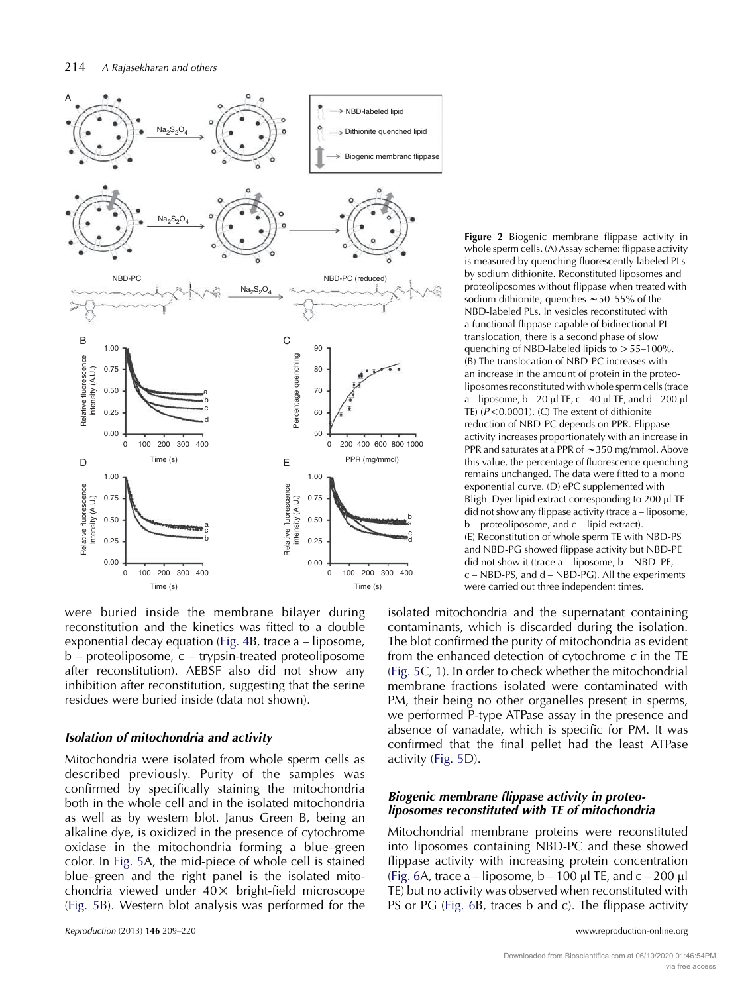<span id="page-5-0"></span>

were buried inside the membrane bilayer during reconstitution and the kinetics was fitted to a double exponential decay equation [\(Fig. 4B](#page-6-0), trace a – liposome, b – proteoliposome, c – trypsin-treated proteoliposome after reconstitution). AEBSF also did not show any inhibition after reconstitution, suggesting that the serine residues were buried inside (data not shown).

#### Isolation of mitochondria and activity

Mitochondria were isolated from whole sperm cells as described previously. Purity of the samples was confirmed by specifically staining the mitochondria both in the whole cell and in the isolated mitochondria as well as by western blot. Janus Green B, being an alkaline dye, is oxidized in the presence of cytochrome oxidase in the mitochondria forming a blue–green color. In [Fig. 5A](#page-7-0), the mid-piece of whole cell is stained blue–green and the right panel is the isolated mitochondria viewed under  $40\times$  bright-field microscope [\(Fig. 5](#page-7-0)B). Western blot analysis was performed for the

Figure 2 Biogenic membrane flippase activity in whole sperm cells. (A) Assay scheme: flippase activity is measured by quenching fluorescently labeled PLs by sodium dithionite. Reconstituted liposomes and proteoliposomes without flippase when treated with sodium dithionite, quenches  $\sim$  50–55% of the NBD-labeled PLs. In vesicles reconstituted with a functional flippase capable of bidirectional PL translocation, there is a second phase of slow quenching of NBD-labeled lipids to  $> 55-100\%$ . (B) The translocation of NBD-PC increases with an increase in the amount of protein in the proteoliposomes reconstituted with whole sperm cells (trace a – liposome,  $b - 20 \mu$ l TE, c – 40  $\mu$ l TE, and d – 200  $\mu$ l TE)  $(P<0.0001)$ . (C) The extent of dithionite reduction of NBD-PC depends on PPR. Flippase activity increases proportionately with an increase in PPR and saturates at a PPR of  $\sim$  350 mg/mmol. Above this value, the percentage of fluorescence quenching remains unchanged. The data were fitted to a mono exponential curve. (D) ePC supplemented with Bligh–Dyer lipid extract corresponding to 200 µl TE did not show any flippase activity (trace a – liposome, b – proteoliposome, and c – lipid extract). (E) Reconstitution of whole sperm TE with NBD-PS and NBD-PG showed flippase activity but NBD-PE did not show it (trace a – liposome, b – NBD–PE, c – NBD-PS, and d – NBD-PG). All the experiments were carried out three independent times.

isolated mitochondria and the supernatant containing contaminants, which is discarded during the isolation. The blot confirmed the purity of mitochondria as evident from the enhanced detection of cytochrome  $c$  in the TE [\(Fig. 5C](#page-7-0), 1). In order to check whether the mitochondrial membrane fractions isolated were contaminated with PM, their being no other organelles present in sperms, we performed P-type ATPase assay in the presence and absence of vanadate, which is specific for PM. It was confirmed that the final pellet had the least ATPase activity [\(Fig. 5](#page-7-0)D).

# Biogenic membrane flippase activity in proteoliposomes reconstituted with TE of mitochondria

Mitochondrial membrane proteins were reconstituted into liposomes containing NBD-PC and these showed flippase activity with increasing protein concentration [\(Fig. 6](#page-8-0)A, trace a – liposome,  $b - 100 \mu$  TE, and  $c - 200 \mu$ TE) but no activity was observed when reconstituted with PS or PG [\(Fig. 6](#page-8-0)B, traces b and c). The flippase activity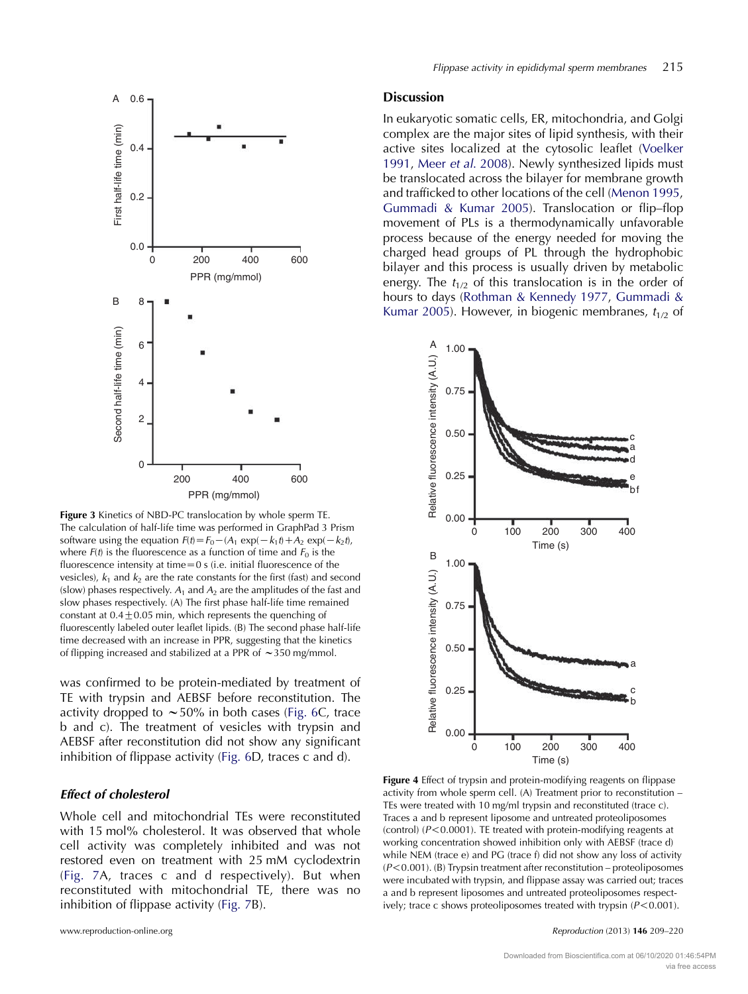<span id="page-6-0"></span>

Figure 3 Kinetics of NBD-PC translocation by whole sperm TE. The calculation of half-life time was performed in GraphPad 3 Prism software using the equation  $F(t) = F_0 - (A_1 \exp(-k_1t) + A_2 \exp(-k_2t)$ , where  $F(t)$  is the fluorescence as a function of time and  $F_0$  is the fluorescence intensity at time $=0$  s (i.e. initial fluorescence of the vesicles),  $k_1$  and  $k_2$  are the rate constants for the first (fast) and second (slow) phases respectively.  $A_1$  and  $A_2$  are the amplitudes of the fast and slow phases respectively. (A) The first phase half-life time remained constant at  $0.4\pm0.05$  min, which represents the quenching of fluorescently labeled outer leaflet lipids. (B) The second phase half-life time decreased with an increase in PPR, suggesting that the kinetics of flipping increased and stabilized at a PPR of  $\sim$  350 mg/mmol.

was confirmed to be protein-mediated by treatment of TE with trypsin and AEBSF before reconstitution. The activity dropped to  $\sim$  50% in both cases ([Fig. 6](#page-8-0)C, trace b and c). The treatment of vesicles with trypsin and AEBSF after reconstitution did not show any significant inhibition of flippase activity [\(Fig. 6](#page-8-0)D, traces c and d).

# Effect of cholesterol

Whole cell and mitochondrial TEs were reconstituted with 15 mol% cholesterol. It was observed that whole cell activity was completely inhibited and was not restored even on treatment with 25 mM cyclodextrin ([Fig. 7](#page-9-0)A, traces c and d respectively). But when reconstituted with mitochondrial TE, there was no inhibition of flippase activity [\(Fig. 7](#page-9-0)B).

#### Discussion

In eukaryotic somatic cells, ER, mitochondria, and Golgi complex are the major sites of lipid synthesis, with their active sites localized at the cytosolic leaflet [\(Voelker](#page-11-0) [1991,](#page-11-0) Meer et al[. 2008](#page-10-0)). Newly synthesized lipids must be translocated across the bilayer for membrane growth and trafficked to other locations of the cell ([Menon 1995](#page-10-0), [Gummadi & Kumar 2005](#page-10-0)). Translocation or flip–flop movement of PLs is a thermodynamically unfavorable process because of the energy needed for moving the charged head groups of PL through the hydrophobic bilayer and this process is usually driven by metabolic energy. The  $t_{1/2}$  of this translocation is in the order of hours to days ([Rothman & Kennedy 1977](#page-11-0), [Gummadi &](#page-10-0) [Kumar 2005](#page-10-0)). However, in biogenic membranes,  $t_{1/2}$  of



Figure 4 Effect of trypsin and protein-modifying reagents on flippase activity from whole sperm cell. (A) Treatment prior to reconstitution – TEs were treated with 10 mg/ml trypsin and reconstituted (trace c). Traces a and b represent liposome and untreated proteoliposomes (control) ( $P < 0.0001$ ). TE treated with protein-modifying reagents at working concentration showed inhibition only with AEBSF (trace d) while NEM (trace e) and PG (trace f) did not show any loss of activity  $(P<0.001)$ . (B) Trypsin treatment after reconstitution – proteoliposomes were incubated with trypsin, and flippase assay was carried out; traces a and b represent liposomes and untreated proteoliposomes respectively; trace c shows proteoliposomes treated with trypsin  $(P < 0.001)$ .

www.reproduction-online.org **Reproduction COM** and the 209–220 Reproduction (2013) 146 209–220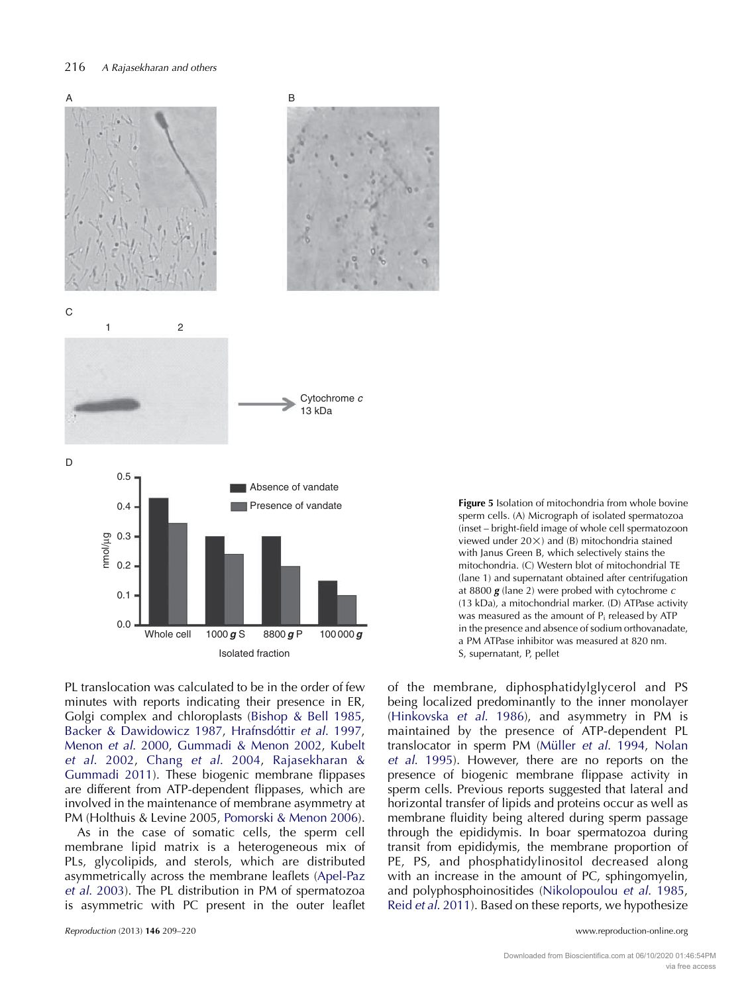<span id="page-7-0"></span>

PL translocation was calculated to be in the order of few minutes with reports indicating their presence in ER, Golgi complex and chloroplasts ([Bishop & Bell 1985,](#page-10-0) [Backer & Dawidowicz 1987](#page-10-0), Hrafnsdóttir et al. 1997, [Menon](#page-10-0) et al. 2000, [Gummadi & Menon 2002](#page-10-0), [Kubelt](#page-10-0) et al[. 2002](#page-10-0), Chang et al[. 2004,](#page-10-0) [Rajasekharan &](#page-11-0) [Gummadi 2011\)](#page-11-0). These biogenic membrane flippases are different from ATP-dependent flippases, which are involved in the maintenance of membrane asymmetry at PM (Holthuis & Levine 2005, [Pomorski & Menon 2006\)](#page-11-0).

As in the case of somatic cells, the sperm cell membrane lipid matrix is a heterogeneous mix of PLs, glycolipids, and sterols, which are distributed asymmetrically across the membrane leaflets ([Apel-Paz](#page-10-0) et al[. 2003](#page-10-0)). The PL distribution in PM of spermatozoa is asymmetric with PC present in the outer leaflet

Figure 5 Isolation of mitochondria from whole bovine sperm cells. (A) Micrograph of isolated spermatozoa (inset – bright-field image of whole cell spermatozoon viewed under  $20 \times$ ) and (B) mitochondria stained with Janus Green B, which selectively stains the mitochondria. (C) Western blot of mitochondrial TE (lane 1) and supernatant obtained after centrifugation at 8800  $g$  (lane 2) were probed with cytochrome  $c$ (13 kDa), a mitochondrial marker. (D) ATPase activity was measured as the amount of  $P_i$  released by ATP in the presence and absence of sodium orthovanadate, a PM ATPase inhibitor was measured at 820 nm. S, supernatant, P, pellet

of the membrane, diphosphatidylglycerol and PS being localized predominantly to the inner monolayer [\(Hinkovska](#page-10-0) et al. 1986), and asymmetry in PM is maintained by the presence of ATP-dependent PL translocator in sperm PM (Müller et al[. 1994](#page-11-0), [Nolan](#page-11-0) et al[. 1995\)](#page-11-0). However, there are no reports on the presence of biogenic membrane flippase activity in sperm cells. Previous reports suggested that lateral and horizontal transfer of lipids and proteins occur as well as membrane fluidity being altered during sperm passage through the epididymis. In boar spermatozoa during transit from epididymis, the membrane proportion of PE, PS, and phosphatidylinositol decreased along with an increase in the amount of PC, sphingomyelin, and polyphosphoinositides ([Nikolopoulou](#page-11-0) et al. 1985, Reid et al[. 2011\)](#page-11-0). Based on these reports, we hypothesize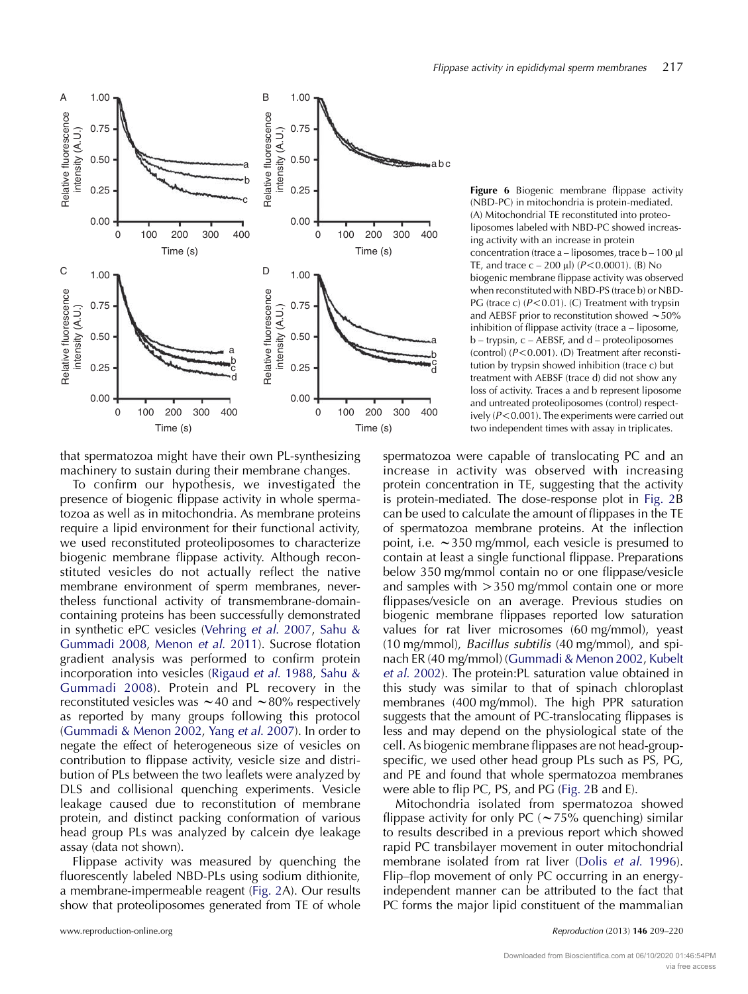

<span id="page-8-0"></span>

that spermatozoa might have their own PL-synthesizing machinery to sustain during their membrane changes.

To confirm our hypothesis, we investigated the presence of biogenic flippase activity in whole spermatozoa as well as in mitochondria. As membrane proteins require a lipid environment for their functional activity, we used reconstituted proteoliposomes to characterize biogenic membrane flippase activity. Although reconstituted vesicles do not actually reflect the native membrane environment of sperm membranes, nevertheless functional activity of transmembrane-domaincontaining proteins has been successfully demonstrated in synthetic ePC vesicles ([Vehring](#page-11-0) et al. 2007, [Sahu &](#page-11-0) [Gummadi 2008,](#page-11-0) [Menon](#page-11-0) et al. 2011). Sucrose flotation gradient analysis was performed to confirm protein incorporation into vesicles [\(Rigaud](#page-11-0) et al. 1988, [Sahu &](#page-11-0) [Gummadi 2008](#page-11-0)). Protein and PL recovery in the reconstituted vesicles was  $\sim$  40 and  $\sim$  80% respectively as reported by many groups following this protocol ([Gummadi & Menon 2002,](#page-10-0) Yang et al[. 2007](#page-11-0)). In order to negate the effect of heterogeneous size of vesicles on contribution to flippase activity, vesicle size and distribution of PLs between the two leaflets were analyzed by DLS and collisional quenching experiments. Vesicle leakage caused due to reconstitution of membrane protein, and distinct packing conformation of various head group PLs was analyzed by calcein dye leakage assay (data not shown).

Flippase activity was measured by quenching the fluorescently labeled NBD-PLs using sodium dithionite, a membrane-impermeable reagent ([Fig. 2A](#page-5-0)). Our results show that proteoliposomes generated from TE of whole

Figure 6 Biogenic membrane flippase activity (NBD-PC) in mitochondria is protein-mediated. (A) Mitochondrial TE reconstituted into proteoliposomes labeled with NBD-PC showed increasing activity with an increase in protein concentration (trace a – liposomes, trace b – 100 µl TE, and trace  $c - 200 \mu l$ ) ( $P < 0.0001$ ). (B) No biogenic membrane flippase activity was observed when reconstituted with NBD-PS (trace b) or NBD-PG (trace c)  $(P<0.01)$ . (C) Treatment with trypsin and AEBSF prior to reconstitution showed  $\sim$  50% inhibition of flippase activity (trace a – liposome, b – trypsin, c – AEBSF, and d – proteoliposomes (control)  $(P<0.001)$ . (D) Treatment after reconstitution by trypsin showed inhibition (trace c) but treatment with AEBSF (trace d) did not show any loss of activity. Traces a and b represent liposome and untreated proteoliposomes (control) respectively ( $P < 0.001$ ). The experiments were carried out two independent times with assay in triplicates.

spermatozoa were capable of translocating PC and an increase in activity was observed with increasing protein concentration in TE, suggesting that the activity is protein-mediated. The dose-response plot in [Fig. 2B](#page-5-0) can be used to calculate the amount of flippases in the TE of spermatozoa membrane proteins. At the inflection point, i.e.  $\sim$ 350 mg/mmol, each vesicle is presumed to contain at least a single functional flippase. Preparations below 350 mg/mmol contain no or one flippase/vesicle and samples with  $>350$  mg/mmol contain one or more flippases/vesicle on an average. Previous studies on biogenic membrane flippases reported low saturation values for rat liver microsomes (60 mg/mmol), yeast (10 mg/mmol), Bacillus subtilis (40 mg/mmol), and spinach ER (40 mg/mmol) ([Gummadi & Menon 2002](#page-10-0), [Kubelt](#page-10-0) et al[. 2002](#page-10-0)). The protein:PL saturation value obtained in this study was similar to that of spinach chloroplast membranes (400 mg/mmol). The high PPR saturation suggests that the amount of PC-translocating flippases is less and may depend on the physiological state of the cell. As biogenic membrane flippases are not head-groupspecific, we used other head group PLs such as PS, PG, and PE and found that whole spermatozoa membranes were able to flip PC, PS, and PG ([Fig. 2](#page-5-0)B and E).

Mitochondria isolated from spermatozoa showed flippase activity for only PC ( $\sim$  75% quenching) similar to results described in a previous report which showed rapid PC transbilayer movement in outer mitochondrial membrane isolated from rat liver (Dolis et al[. 1996](#page-10-0)). Flip–flop movement of only PC occurring in an energyindependent manner can be attributed to the fact that PC forms the major lipid constituent of the mammalian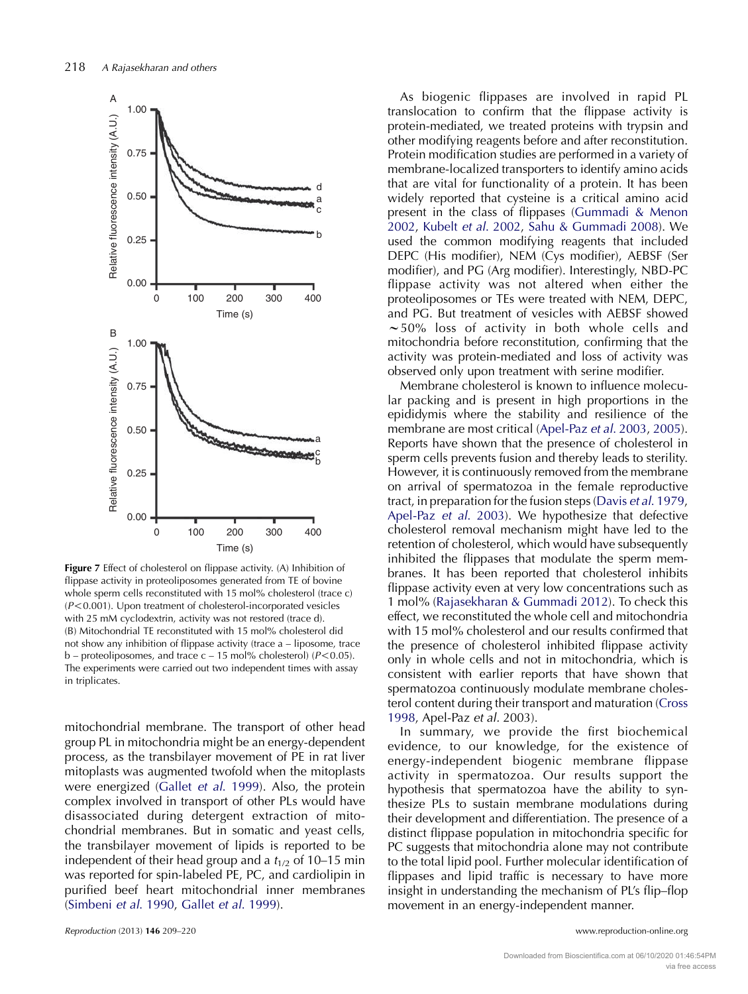<span id="page-9-0"></span>

Figure 7 Effect of cholesterol on flippase activity. (A) Inhibition of flippase activity in proteoliposomes generated from TE of bovine whole sperm cells reconstituted with 15 mol% cholesterol (trace c)  $(P<0.001)$ . Upon treatment of cholesterol-incorporated vesicles with 25 mM cyclodextrin, activity was not restored (trace d). (B) Mitochondrial TE reconstituted with 15 mol% cholesterol did not show any inhibition of flippase activity (trace a – liposome, trace b – proteoliposomes, and trace  $c - 15$  mol% cholesterol) ( $P < 0.05$ ). The experiments were carried out two independent times with assay in triplicates.

mitochondrial membrane. The transport of other head group PL in mitochondria might be an energy-dependent process, as the transbilayer movement of PE in rat liver mitoplasts was augmented twofold when the mitoplasts were energized (Gallet et al[. 1999](#page-10-0)). Also, the protein complex involved in transport of other PLs would have disassociated during detergent extraction of mitochondrial membranes. But in somatic and yeast cells, the transbilayer movement of lipids is reported to be independent of their head group and a  $t_{1/2}$  of 10–15 min was reported for spin-labeled PE, PC, and cardiolipin in purified beef heart mitochondrial inner membranes [\(Simbeni](#page-11-0) et al. 1990, Gallet et al[. 1999](#page-10-0)).

As biogenic flippases are involved in rapid PL translocation to confirm that the flippase activity is protein-mediated, we treated proteins with trypsin and other modifying reagents before and after reconstitution. Protein modification studies are performed in a variety of membrane-localized transporters to identify amino acids that are vital for functionality of a protein. It has been widely reported that cysteine is a critical amino acid present in the class of flippases [\(Gummadi & Menon](#page-10-0) [2002,](#page-10-0) Kubelt et al[. 2002,](#page-10-0) [Sahu & Gummadi 2008](#page-11-0)). We used the common modifying reagents that included DEPC (His modifier), NEM (Cys modifier), AEBSF (Ser modifier), and PG (Arg modifier). Interestingly, NBD-PC flippase activity was not altered when either the proteoliposomes or TEs were treated with NEM, DEPC, and PG. But treatment of vesicles with AEBSF showed  $\sim$  50% loss of activity in both whole cells and mitochondria before reconstitution, confirming that the activity was protein-mediated and loss of activity was observed only upon treatment with serine modifier.

Membrane cholesterol is known to influence molecular packing and is present in high proportions in the epididymis where the stability and resilience of the membrane are most critical ([Apel-Paz](#page-10-0) et al. 2003, [2005](#page-10-0)). Reports have shown that the presence of cholesterol in sperm cells prevents fusion and thereby leads to sterility. However, it is continuously removed from the membrane on arrival of spermatozoa in the female reproductive tract, in preparation for the fusion steps (Davis et al[. 1979,](#page-10-0) [Apel-Paz](#page-10-0) et al. 2003). We hypothesize that defective cholesterol removal mechanism might have led to the retention of cholesterol, which would have subsequently inhibited the flippases that modulate the sperm membranes. It has been reported that cholesterol inhibits flippase activity even at very low concentrations such as 1 mol% [\(Rajasekharan & Gummadi 2012](#page-11-0)). To check this effect, we reconstituted the whole cell and mitochondria with 15 mol% cholesterol and our results confirmed that the presence of cholesterol inhibited flippase activity only in whole cells and not in mitochondria, which is consistent with earlier reports that have shown that spermatozoa continuously modulate membrane cholesterol content during their transport and maturation [\(Cross](#page-10-0) [1998,](#page-10-0) Apel-Paz et al. 2003).

In summary, we provide the first biochemical evidence, to our knowledge, for the existence of energy-independent biogenic membrane flippase activity in spermatozoa. Our results support the hypothesis that spermatozoa have the ability to synthesize PLs to sustain membrane modulations during their development and differentiation. The presence of a distinct flippase population in mitochondria specific for PC suggests that mitochondria alone may not contribute to the total lipid pool. Further molecular identification of flippases and lipid traffic is necessary to have more insight in understanding the mechanism of PL's flip–flop movement in an energy-independent manner.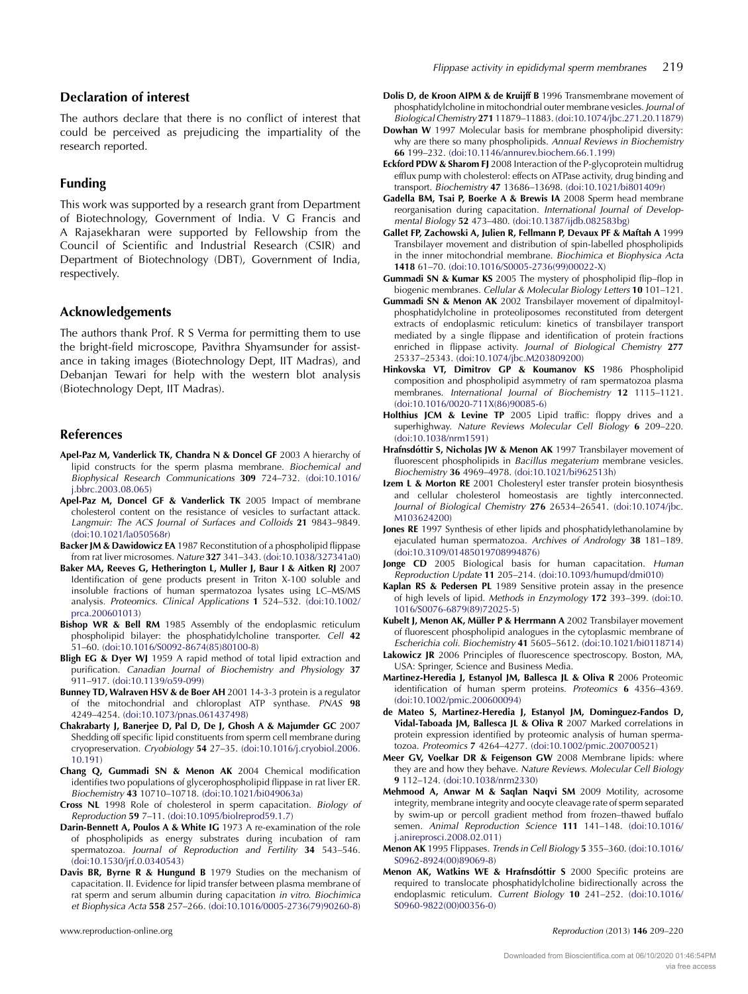# <span id="page-10-0"></span>Declaration of interest

The authors declare that there is no conflict of interest that could be perceived as prejudicing the impartiality of the research reported.

# Funding

This work was supported by a research grant from Department of Biotechnology, Government of India. V G Francis and A Rajasekharan were supported by Fellowship from the Council of Scientific and Industrial Research (CSIR) and Department of Biotechnology (DBT), Government of India, respectively.

#### Acknowledgements

The authors thank Prof. R S Verma for permitting them to use the bright-field microscope, Pavithra Shyamsunder for assistance in taking images (Biotechnology Dept, IIT Madras), and Debanjan Tewari for help with the western blot analysis (Biotechnology Dept, IIT Madras).

#### References

- Apel-Paz M, Vanderlick TK, Chandra N & Doncel GF 2003 A hierarchy of lipid constructs for the sperm plasma membrane. Biochemical and Biophysical Research Communications 309 724–732. [\(doi:10.1016/](http://dx.doi.org/10.1016/j.bbrc.2003.08.065) [j.bbrc.2003.08.065\)](http://dx.doi.org/10.1016/j.bbrc.2003.08.065)
- Apel-Paz M, Doncel GF & Vanderlick TK 2005 Impact of membrane cholesterol content on the resistance of vesicles to surfactant attack. Langmuir: The ACS Journal of Surfaces and Colloids 21 9843–9849. ([doi:10.1021/la050568r](http://dx.doi.org/10.1021/la050568r))
- Backer JM & Dawidowicz EA 1987 Reconstitution of a phospholipid flippase from rat liver microsomes. Nature 327 341–343. ([doi:10.1038/327341a0\)](http://dx.doi.org/10.1038/327341a0)
- Baker MA, Reeves G, Hetherington L, Muller J, Baur I & Aitken RJ 2007 Identification of gene products present in Triton X-100 soluble and insoluble fractions of human spermatozoa lysates using LC–MS/MS analysis. Proteomics. Clinical Applications 1 524–532. [\(doi:10.1002/](http://dx.doi.org/10.1002/prca.200601013) [prca.200601013](http://dx.doi.org/10.1002/prca.200601013))
- Bishop WR & Bell RM 1985 Assembly of the endoplasmic reticulum phospholipid bilayer: the phosphatidylcholine transporter. Cell 42 51–60. ([doi:10.1016/S0092-8674\(85\)80100-8\)](http://dx.doi.org/10.1016/S0092-8674(85)80100-8)
- Bligh EG & Dyer WJ 1959 A rapid method of total lipid extraction and purification. Canadian Journal of Biochemistry and Physiology 37 911–917. ([doi:10.1139/o59-099](http://dx.doi.org/10.1139/o59-099))
- Bunney TD, Walraven HSV & de Boer AH 2001 14-3-3 protein is a regulator of the mitochondrial and chloroplast ATP synthase. PNAS 98 4249–4254. [\(doi:10.1073/pnas.061437498\)](http://dx.doi.org/10.1073/pnas.061437498)
- Chakrabarty J, Banerjee D, Pal D, De J, Ghosh A & Majumder GC 2007 Shedding off specific lipid constituents from sperm cell membrane during cryopreservation. Cryobiology 54 27–35. [\(doi:10.1016/j.cryobiol.2006.](http://dx.doi.org/10.1016/j.cryobiol.2006.10.191) [10.191\)](http://dx.doi.org/10.1016/j.cryobiol.2006.10.191)
- Chang Q, Gummadi SN & Menon AK 2004 Chemical modification identifies two populations of glycerophospholipid flippase in rat liver ER. Biochemistry 43 10710–10718. ([doi:10.1021/bi049063a](http://dx.doi.org/10.1021/bi049063a))
- Cross NL 1998 Role of cholesterol in sperm capacitation. Biology of Reproduction 59 7–11. ([doi:10.1095/biolreprod59.1.7](http://dx.doi.org/10.1095/biolreprod59.1.7))
- Darin-Bennett A, Poulos A & White IG 1973 A re-examination of the role of phospholipids as energy substrates during incubation of ram spermatozoa. Journal of Reproduction and Fertility 34 543–546. ([doi:10.1530/jrf.0.0340543](http://dx.doi.org/10.1530/jrf.0.0340543))
- Davis BR, Byrne R & Hungund B 1979 Studies on the mechanism of capacitation. II. Evidence for lipid transfer between plasma membrane of rat sperm and serum albumin during capacitation in vitro. Biochimica et Biophysica Acta 558 257–266. [\(doi:10.1016/0005-2736\(79\)90260-8\)](http://dx.doi.org/10.1016/0005-2736(79)90260-8)
- Dolis D, de Kroon AIPM & de Kruijff B 1996 Transmembrane movement of phosphatidylcholine in mitochondrial outer membrane vesicles. Journal of Biological Chemistry 271 11879–11883. [\(doi:10.1074/jbc.271.20.11879\)](http://dx.doi.org/10.1074/jbc.271.20.11879)
- Dowhan W 1997 Molecular basis for membrane phospholipid diversity: why are there so many phospholipids. Annual Reviews in Biochemistry 66 199–232. [\(doi:10.1146/annurev.biochem.66.1.199\)](http://dx.doi.org/10.1146/annurev.biochem.66.1.199)
- Eckford PDW & Sharom FJ 2008 Interaction of the P-glycoprotein multidrug efflux pump with cholesterol: effects on ATPase activity, drug binding and transport. Biochemistry 47 13686–13698. [\(doi:10.1021/bi801409r](http://dx.doi.org/10.1021/bi801409r))
- Gadella BM, Tsai P, Boerke A & Brewis IA 2008 Sperm head membrane reorganisation during capacitation. International Journal of Developmental Biology 52 473–480. [\(doi:10.1387/ijdb.082583bg](http://dx.doi.org/10.1387/ijdb.082583bg))
- Gallet FP, Zachowski A, Julien R, Fellmann P, Devaux PF & Maftah A 1999 Transbilayer movement and distribution of spin-labelled phospholipids in the inner mitochondrial membrane. Biochimica et Biophysica Acta 1418 61–70. [\(doi:10.1016/S0005-2736\(99\)00022-X](http://dx.doi.org/10.1016/S0005-2736(99)00022-X))
- Gummadi SN & Kumar KS 2005 The mystery of phospholipid flip–flop in biogenic membranes. Cellular & Molecular Biology Letters 10 101–121.
- Gummadi SN & Menon AK 2002 Transbilayer movement of dipalmitoylphosphatidylcholine in proteoliposomes reconstituted from detergent extracts of endoplasmic reticulum: kinetics of transbilayer transport mediated by a single flippase and identification of protein fractions enriched in flippase activity. Journal of Biological Chemistry 277 25337–25343. [\(doi:10.1074/jbc.M203809200\)](http://dx.doi.org/10.1074/jbc.M203809200)
- Hinkovska VT, Dimitrov GP & Koumanov KS 1986 Phospholipid composition and phospholipid asymmetry of ram spermatozoa plasma membranes. International Journal of Biochemistry 12 1115–1121. ([doi:10.1016/0020-711X\(86\)90085-6](http://dx.doi.org/10.1016/0020-711X(86)90085-6))
- Holthius JCM & Levine TP 2005 Lipid traffic: floppy drives and a superhighway. Nature Reviews Molecular Cell Biology 6 209–220. ([doi:10.1038/nrm1591\)](http://dx.doi.org/10.1038/nrm1591)
- Hrafnsdóttir S, Nicholas JW & Menon AK 1997 Transbilayer movement of fluorescent phospholipids in Bacillus megaterium membrane vesicles. Biochemistry 36 4969–4978. ([doi:10.1021/bi962513h](http://dx.doi.org/10.1021/bi962513h))
- Izem L & Morton RE 2001 Cholesteryl ester transfer protein biosynthesis and cellular cholesterol homeostasis are tightly interconnected. Journal of Biological Chemistry 276 26534–26541. [\(doi:10.1074/jbc.](http://dx.doi.org/10.1074/jbc.M103624200) [M103624200\)](http://dx.doi.org/10.1074/jbc.M103624200)
- Jones RE 1997 Synthesis of ether lipids and phosphatidylethanolamine by ejaculated human spermatozoa. Archives of Andrology 38 181–189. ([doi:10.3109/01485019708994876\)](http://dx.doi.org/10.3109/01485019708994876)
- Jonge CD 2005 Biological basis for human capacitation. Human Reproduction Update 11 205–214. ([doi:10.1093/humupd/dmi010](http://dx.doi.org/10.1093/humupd/dmi010))
- Kaplan RS & Pedersen PL 1989 Sensitive protein assay in the presence of high levels of lipid. Methods in Enzymology 172 393-399. [\(doi:10.](http://dx.doi.org/10.1016/S0076-6879(89)72025-5) [1016/S0076-6879\(89\)72025-5](http://dx.doi.org/10.1016/S0076-6879(89)72025-5))
- Kubelt J, Menon AK, Müller P & Herrmann A 2002 Transbilayer movement of fluorescent phospholipid analogues in the cytoplasmic membrane of Escherichia coli. Biochemistry 41 5605–5612. [\(doi:10.1021/bi0118714\)](http://dx.doi.org/10.1021/bi0118714)
- Lakowicz JR 2006 Principles of fluorescence spectroscopy. Boston, MA, USA: Springer, Science and Business Media.
- Martinez-Heredia J, Estanyol JM, Ballesca JL & Oliva R 2006 Proteomic identification of human sperm proteins. Proteomics 6 4356–4369. ([doi:10.1002/pmic.200600094\)](http://dx.doi.org/10.1002/pmic.200600094)
- de Mateo S, Martinez-Heredia J, Estanyol JM, Dominguez-Fandos D, Vidal-Taboada JM, Ballesca JL & Oliva R 2007 Marked correlations in protein expression identified by proteomic analysis of human spermatozoa. Proteomics 7 4264–4277. ([doi:10.1002/pmic.200700521\)](http://dx.doi.org/10.1002/pmic.200700521)
- Meer GV, Voelkar DR & Feigenson GW 2008 Membrane lipids: where they are and how they behave. Nature Reviews. Molecular Cell Biology 9 112–124. [\(doi:10.1038/nrm2330\)](http://dx.doi.org/10.1038/nrm2330)
- Mehmood A, Anwar M & Saqlan Naqvi SM 2009 Motility, acrosome integrity, membrane integrity and oocyte cleavage rate of sperm separated by swim-up or percoll gradient method from frozen–thawed buffalo semen. Animal Reproduction Science 111 141–148. ([doi:10.1016/](http://dx.doi.org/10.1016/j.anireprosci.2008.02.011) [j.anireprosci.2008.02.011](http://dx.doi.org/10.1016/j.anireprosci.2008.02.011))
- Menon AK 1995 Flippases. Trends in Cell Biology 5 355–360. ([doi:10.1016/](http://dx.doi.org/10.1016/S0962-8924(00)89069-8) [S0962-8924\(00\)89069-8\)](http://dx.doi.org/10.1016/S0962-8924(00)89069-8)
- Menon AK, Watkins WE & Hrafnsdóttir S 2000 Specific proteins are required to translocate phosphatidylcholine bidirectionally across the endoplasmic reticulum. Current Biology 10 241–252. ([doi:10.1016/](http://dx.doi.org/10.1016/S0960-9822(00)00356-0) [S0960-9822\(00\)00356-0\)](http://dx.doi.org/10.1016/S0960-9822(00)00356-0)